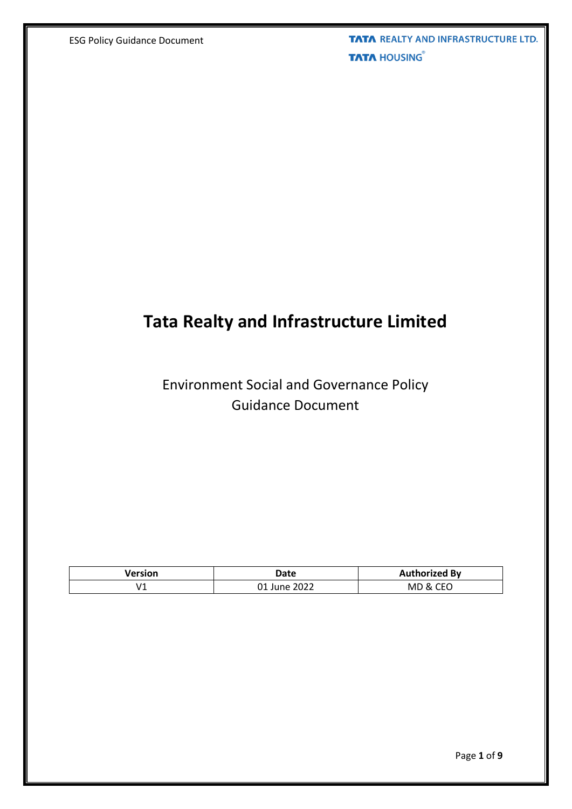**TATA REALTY AND INFRASTRUCTURE LTD. TATA HOUSING®** 

# **Tata Realty and Infrastructure Limited**

# Environment Social and Governance Policy Guidance Document

| Version | Date             | <b>Authorized By</b>         |
|---------|------------------|------------------------------|
| V1      | 2022<br>∵ June ل | <b>CEO</b><br>MD<br><b>X</b> |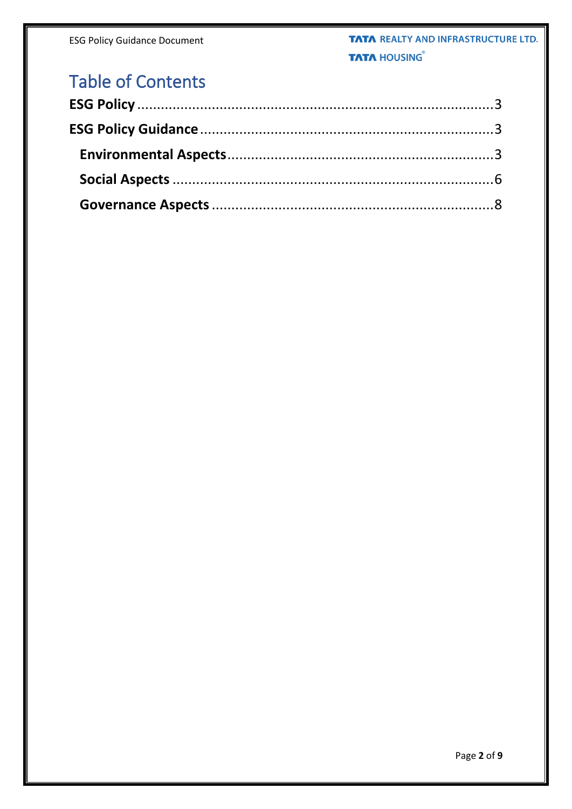# **Table of Contents**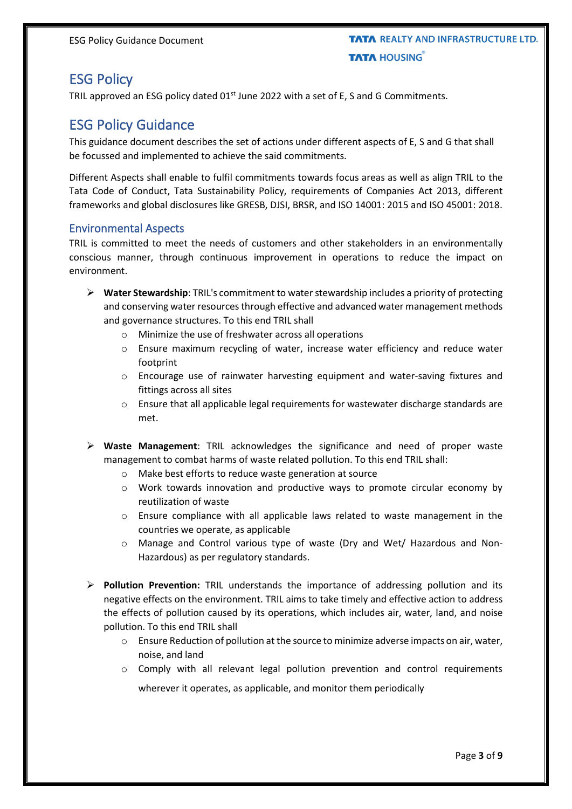## <span id="page-2-0"></span>ESG Policy

TRIL approved an ESG policy dated  $01<sup>st</sup>$  June 2022 with a set of E, S and G Commitments.

### <span id="page-2-1"></span>ESG Policy Guidance

This guidance document describes the set of actions under different aspects of E, S and G that shall be focussed and implemented to achieve the said commitments.

Different Aspects shall enable to fulfil commitments towards focus areas as well as align TRIL to the Tata Code of Conduct, Tata Sustainability Policy, requirements of Companies Act 2013, different frameworks and global disclosures like GRESB, DJSI, BRSR, and ISO 14001: 2015 and ISO 45001: 2018.

#### <span id="page-2-2"></span>Environmental Aspects

TRIL is committed to meet the needs of customers and other stakeholders in an environmentally conscious manner, through continuous improvement in operations to reduce the impact on environment.

- ➢ **Water Stewardship**: TRIL's commitment to water stewardship includes a priority of protecting and conserving water resources through effective and advanced water management methods and governance structures. To this end TRIL shall
	- o Minimize the use of freshwater across all operations
	- o Ensure maximum recycling of water, increase water efficiency and reduce water footprint
	- o Encourage use of rainwater harvesting equipment and water-saving fixtures and fittings across all sites
	- o Ensure that all applicable legal requirements for wastewater discharge standards are met.
- ➢ **Waste Management**: TRIL acknowledges the significance and need of proper waste management to combat harms of waste related pollution. To this end TRIL shall:
	- o Make best efforts to reduce waste generation at source
	- o Work towards innovation and productive ways to promote circular economy by reutilization of waste
	- o Ensure compliance with all applicable laws related to waste management in the countries we operate, as applicable
	- o Manage and Control various type of waste (Dry and Wet/ Hazardous and Non-Hazardous) as per regulatory standards.
- ➢ **Pollution Prevention:** TRIL understands the importance of addressing pollution and its negative effects on the environment. TRIL aims to take timely and effective action to address the effects of pollution caused by its operations, which includes air, water, land, and noise pollution. To this end TRIL shall
	- o Ensure Reduction of pollution at the source to minimize adverse impacts on air, water, noise, and land
	- $\circ$  Comply with all relevant legal pollution prevention and control requirements

wherever it operates, as applicable, and monitor them periodically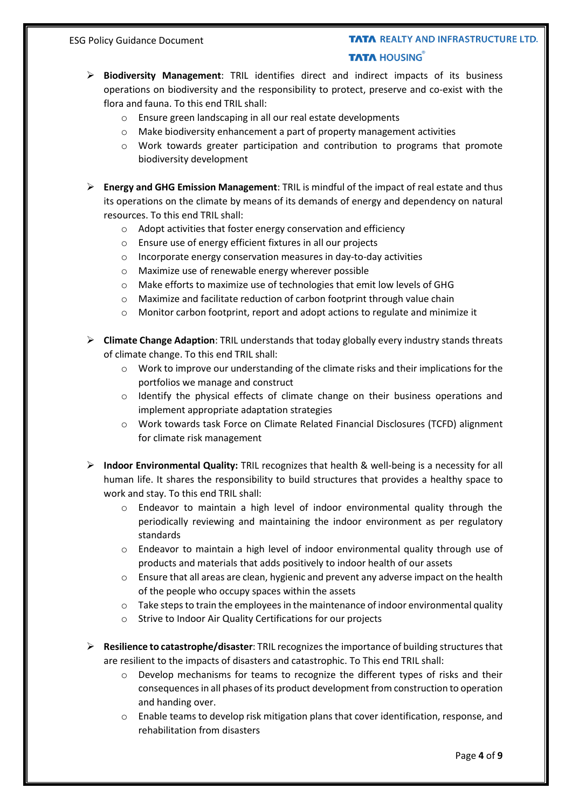### **TATA REALTY AND INFRASTRUCTURE LTD. TATA HOUSING**

- ➢ **Biodiversity Management**: TRIL identifies direct and indirect impacts of its business operations on biodiversity and the responsibility to protect, preserve and co-exist with the flora and fauna. To this end TRIL shall:
	- o Ensure green landscaping in all our real estate developments
	- o Make biodiversity enhancement a part of property management activities
	- o Work towards greater participation and contribution to programs that promote biodiversity development
- ➢ **Energy and GHG Emission Management**: TRIL is mindful of the impact of real estate and thus its operations on the climate by means of its demands of energy and dependency on natural resources. To this end TRIL shall:
	- o Adopt activities that foster energy conservation and efficiency
	- o Ensure use of energy efficient fixtures in all our projects
	- o Incorporate energy conservation measures in day-to-day activities
	- o Maximize use of renewable energy wherever possible
	- o Make efforts to maximize use of technologies that emit low levels of GHG
	- o Maximize and facilitate reduction of carbon footprint through value chain
	- o Monitor carbon footprint, report and adopt actions to regulate and minimize it
- ➢ **Climate Change Adaption**: TRIL understands that today globally every industry stands threats of climate change. To this end TRIL shall:
	- o Work to improve our understanding of the climate risks and their implications for the portfolios we manage and construct
	- o Identify the physical effects of climate change on their business operations and implement appropriate adaptation strategies
	- o Work towards task Force on Climate Related Financial Disclosures (TCFD) alignment for climate risk management
- ➢ **Indoor Environmental Quality:** TRIL recognizes that health & well-being is a necessity for all human life. It shares the responsibility to build structures that provides a healthy space to work and stay. To this end TRIL shall:
	- o Endeavor to maintain a high level of indoor environmental quality through the periodically reviewing and maintaining the indoor environment as per regulatory standards
	- $\circ$  Endeavor to maintain a high level of indoor environmental quality through use of products and materials that adds positively to indoor health of our assets
	- $\circ$  Ensure that all areas are clean, hygienic and prevent any adverse impact on the health of the people who occupy spaces within the assets
	- $\circ$  Take steps to train the employees in the maintenance of indoor environmental quality
	- o Strive to Indoor Air Quality Certifications for our projects
- ➢ **Resilience to catastrophe/disaster**: TRIL recognizes the importance of building structures that are resilient to the impacts of disasters and catastrophic. To This end TRIL shall:
	- $\circ$  Develop mechanisms for teams to recognize the different types of risks and their consequencesin all phases of its product development from construction to operation and handing over.
	- $\circ$  Enable teams to develop risk mitigation plans that cover identification, response, and rehabilitation from disasters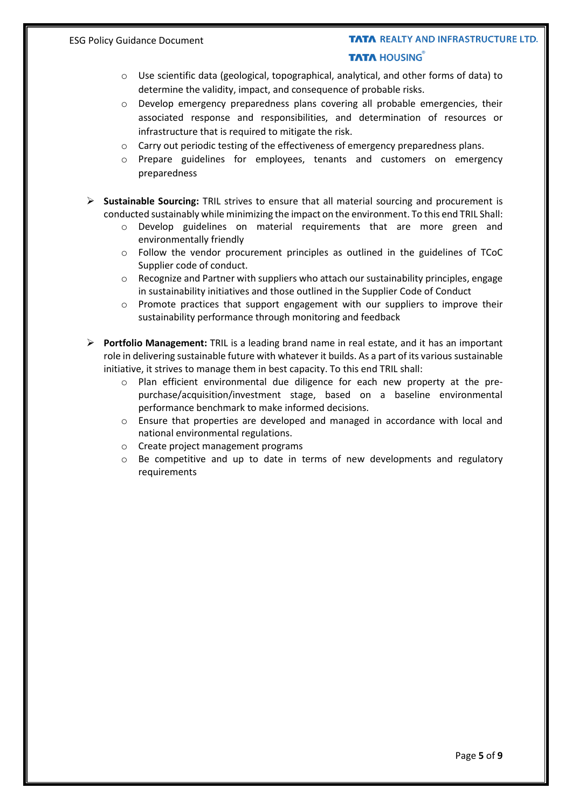### **TATA REALTY AND INFRASTRUCTURE LTD. TATA HOUSING**

- o Use scientific data (geological, topographical, analytical, and other forms of data) to determine the validity, impact, and consequence of probable risks.
- o Develop emergency preparedness plans covering all probable emergencies, their associated response and responsibilities, and determination of resources or infrastructure that is required to mitigate the risk.
- o Carry out periodic testing of the effectiveness of emergency preparedness plans.
- o Prepare guidelines for employees, tenants and customers on emergency preparedness
- ➢ **Sustainable Sourcing:** TRIL strives to ensure that all material sourcing and procurement is conducted sustainably while minimizing the impact on the environment. To this end TRIL Shall:
	- o Develop guidelines on material requirements that are more green and environmentally friendly
	- o Follow the vendor procurement principles as outlined in the guidelines of TCoC Supplier code of conduct.
	- $\circ$  Recognize and Partner with suppliers who attach our sustainability principles, engage in sustainability initiatives and those outlined in the Supplier Code of Conduct
	- $\circ$  Promote practices that support engagement with our suppliers to improve their sustainability performance through monitoring and feedback
- ➢ **Portfolio Management:** TRIL is a leading brand name in real estate, and it has an important role in delivering sustainable future with whatever it builds. As a part of its various sustainable initiative, it strives to manage them in best capacity. To this end TRIL shall:
	- o Plan efficient environmental due diligence for each new property at the prepurchase/acquisition/investment stage, based on a baseline environmental performance benchmark to make informed decisions.
	- o Ensure that properties are developed and managed in accordance with local and national environmental regulations.
	- o Create project management programs
	- $\circ$  Be competitive and up to date in terms of new developments and regulatory requirements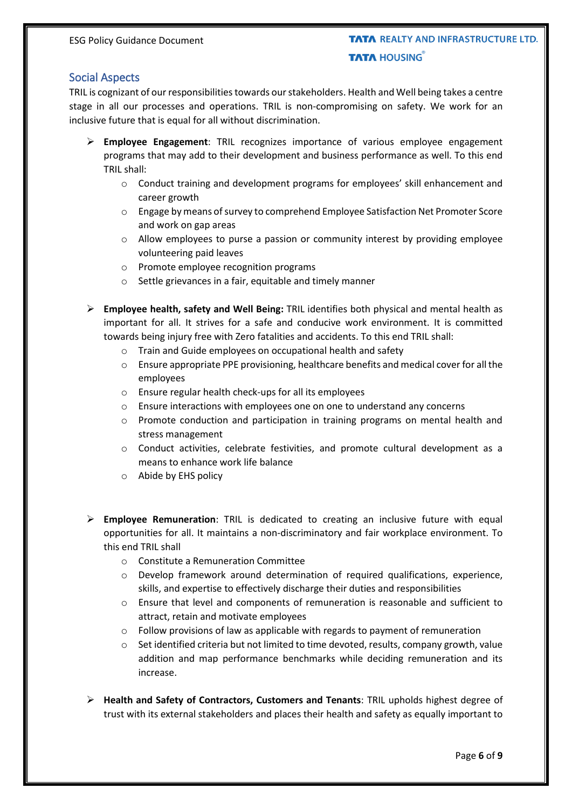#### <span id="page-5-0"></span>Social Aspects

TRIL is cognizant of our responsibilities towards our stakeholders. Health and Well being takes a centre stage in all our processes and operations. TRIL is non-compromising on safety. We work for an inclusive future that is equal for all without discrimination.

- ➢ **Employee Engagement**: TRIL recognizes importance of various employee engagement programs that may add to their development and business performance as well. To this end TRIL shall:
	- o Conduct training and development programs for employees' skill enhancement and career growth
	- o Engage by means of survey to comprehend Employee Satisfaction Net Promoter Score and work on gap areas
	- $\circ$  Allow employees to purse a passion or community interest by providing employee volunteering paid leaves
	- o Promote employee recognition programs
	- o Settle grievances in a fair, equitable and timely manner
- ➢ **Employee health, safety and Well Being:** TRIL identifies both physical and mental health as important for all. It strives for a safe and conducive work environment. It is committed towards being injury free with Zero fatalities and accidents. To this end TRIL shall:
	- o Train and Guide employees on occupational health and safety
	- o Ensure appropriate PPE provisioning, healthcare benefits and medical cover for all the employees
	- o Ensure regular health check-ups for all its employees
	- o Ensure interactions with employees one on one to understand any concerns
	- $\circ$  Promote conduction and participation in training programs on mental health and stress management
	- o Conduct activities, celebrate festivities, and promote cultural development as a means to enhance work life balance
	- o Abide by EHS policy
- ➢ **Employee Remuneration**: TRIL is dedicated to creating an inclusive future with equal opportunities for all. It maintains a non-discriminatory and fair workplace environment. To this end TRIL shall
	- o Constitute a Remuneration Committee
	- $\circ$  Develop framework around determination of required qualifications, experience, skills, and expertise to effectively discharge their duties and responsibilities
	- o Ensure that level and components of remuneration is reasonable and sufficient to attract, retain and motivate employees
	- $\circ$  Follow provisions of law as applicable with regards to payment of remuneration
	- $\circ$  Set identified criteria but not limited to time devoted, results, company growth, value addition and map performance benchmarks while deciding remuneration and its increase.
- ➢ **Health and Safety of Contractors, Customers and Tenants**: TRIL upholds highest degree of trust with its external stakeholders and places their health and safety as equally important to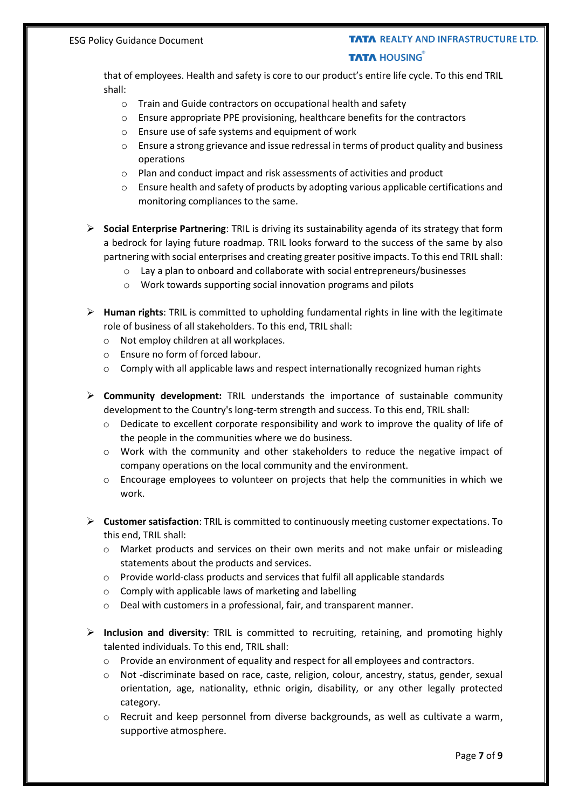#### **TATA REALTY AND INFRASTRUCTURE LTD. TATA HOUSING**

that of employees. Health and safety is core to our product's entire life cycle. To this end TRIL shall:

- o Train and Guide contractors on occupational health and safety
- o Ensure appropriate PPE provisioning, healthcare benefits for the contractors
- o Ensure use of safe systems and equipment of work
- o Ensure a strong grievance and issue redressal in terms of product quality and business operations
- o Plan and conduct impact and risk assessments of activities and product
- o Ensure health and safety of products by adopting various applicable certifications and monitoring compliances to the same.
- ➢ **Social Enterprise Partnering**: TRIL is driving its sustainability agenda of its strategy that form a bedrock for laying future roadmap. TRIL looks forward to the success of the same by also partnering with social enterprises and creating greater positive impacts. To this end TRIL shall:
	- o Lay a plan to onboard and collaborate with social entrepreneurs/businesses
	- o Work towards supporting social innovation programs and pilots
- ➢ **Human rights**: TRIL is committed to upholding fundamental rights in line with the legitimate role of business of all stakeholders. To this end, TRIL shall:
	- o Not employ children at all workplaces.
	- o Ensure no form of forced labour.
	- $\circ$  Comply with all applicable laws and respect internationally recognized human rights
- ➢ **Community development:** TRIL understands the importance of sustainable community development to the Country's long-term strength and success. To this end, TRIL shall:
	- $\circ$  Dedicate to excellent corporate responsibility and work to improve the quality of life of the people in the communities where we do business.
	- o Work with the community and other stakeholders to reduce the negative impact of company operations on the local community and the environment.
	- $\circ$  Encourage employees to volunteer on projects that help the communities in which we work.
- ➢ **Customer satisfaction**: TRIL is committed to continuously meeting customer expectations. To this end, TRIL shall:
	- $\circ$  Market products and services on their own merits and not make unfair or misleading statements about the products and services.
	- o Provide world-class products and services that fulfil all applicable standards
	- o Comply with applicable laws of marketing and labelling
	- o Deal with customers in a professional, fair, and transparent manner.
- ➢ **Inclusion and diversity**: TRIL is committed to recruiting, retaining, and promoting highly talented individuals. To this end, TRIL shall:
	- o Provide an environment of equality and respect for all employees and contractors.
	- o Not -discriminate based on race, caste, religion, colour, ancestry, status, gender, sexual orientation, age, nationality, ethnic origin, disability, or any other legally protected category.
	- $\circ$  Recruit and keep personnel from diverse backgrounds, as well as cultivate a warm, supportive atmosphere.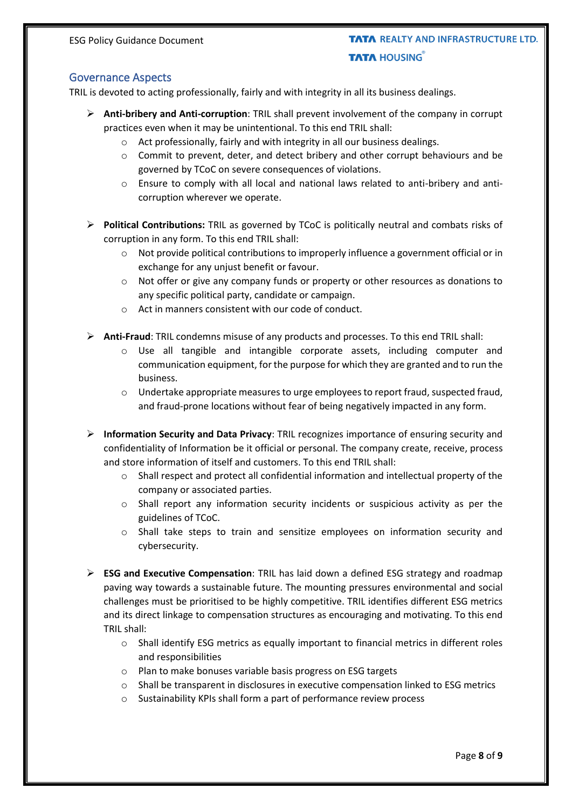ESG Policy Guidance Document

### **TATA REALTY AND INFRASTRUCTURE LTD. TATA HOUSING**

#### <span id="page-7-0"></span>Governance Aspects

TRIL is devoted to acting professionally, fairly and with integrity in all its business dealings.

- ➢ **Anti-bribery and Anti-corruption**: TRIL shall prevent involvement of the company in corrupt practices even when it may be unintentional. To this end TRIL shall:
	- o Act professionally, fairly and with integrity in all our business dealings.
	- $\circ$  Commit to prevent, deter, and detect bribery and other corrupt behaviours and be governed by TCoC on severe consequences of violations.
	- o Ensure to comply with all local and national laws related to anti-bribery and anticorruption wherever we operate.
- ➢ **Political Contributions:** TRIL as governed by TCoC is politically neutral and combats risks of corruption in any form. To this end TRIL shall:
	- $\circ$  Not provide political contributions to improperly influence a government official or in exchange for any unjust benefit or favour.
	- o Not offer or give any company funds or property or other resources as donations to any specific political party, candidate or campaign.
	- o Act in manners consistent with our code of conduct.
- ➢ **Anti-Fraud**: TRIL condemns misuse of any products and processes. To this end TRIL shall:
	- o Use all tangible and intangible corporate assets, including computer and communication equipment, for the purpose for which they are granted and to run the business.
	- o Undertake appropriate measures to urge employeesto report fraud, suspected fraud, and fraud-prone locations without fear of being negatively impacted in any form.
- ➢ **Information Security and Data Privacy**: TRIL recognizes importance of ensuring security and confidentiality of Information be it official or personal. The company create, receive, process and store information of itself and customers. To this end TRIL shall:
	- o Shall respect and protect all confidential information and intellectual property of the company or associated parties.
	- o Shall report any information security incidents or suspicious activity as per the guidelines of TCoC.
	- $\circ$  Shall take steps to train and sensitize employees on information security and cybersecurity.
- ➢ **ESG and Executive Compensation**: TRIL has laid down a defined ESG strategy and roadmap paving way towards a sustainable future. The mounting pressures environmental and social challenges must be prioritised to be highly competitive. TRIL identifies different ESG metrics and its direct linkage to compensation structures as encouraging and motivating. To this end TRIL shall:
	- $\circ$  Shall identify ESG metrics as equally important to financial metrics in different roles and responsibilities
	- o Plan to make bonuses variable basis progress on ESG targets
	- o Shall be transparent in disclosures in executive compensation linked to ESG metrics
	- o Sustainability KPIs shall form a part of performance review process